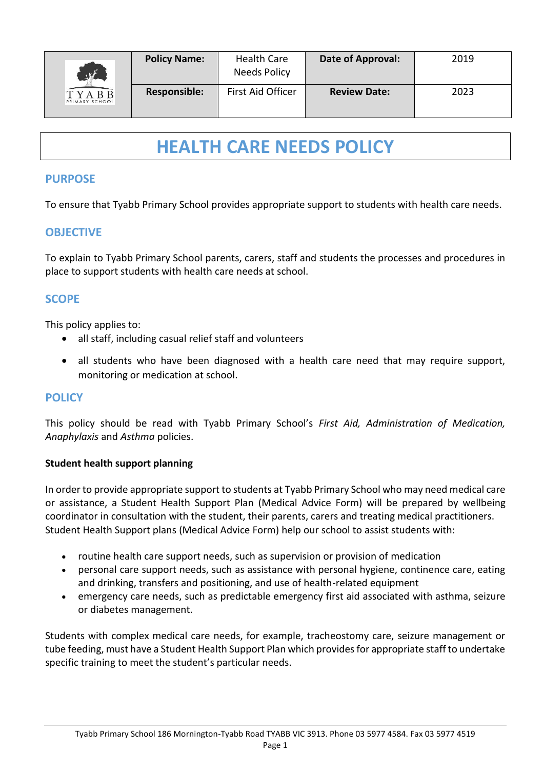| W<br><b>TYABB</b><br>PRIMARY SCHOOL | <b>Policy Name:</b> | <b>Health Care</b><br>Needs Policy | Date of Approval:   | 2019 |
|-------------------------------------|---------------------|------------------------------------|---------------------|------|
|                                     | <b>Responsible:</b> | First Aid Officer                  | <b>Review Date:</b> | 2023 |

# **HEALTH CARE NEEDS POLICY**

## **PURPOSE**

To ensure that Tyabb Primary School provides appropriate support to students with health care needs.

## **OBJECTIVE**

To explain to Tyabb Primary School parents, carers, staff and students the processes and procedures in place to support students with health care needs at school.

## **SCOPE**

This policy applies to:

- all staff, including casual relief staff and volunteers
- all students who have been diagnosed with a health care need that may require support, monitoring or medication at school.

## **POLICY**

This policy should be read with Tyabb Primary School's *First Aid, Administration of Medication, Anaphylaxis* and *Asthma* policies.

#### **Student health support planning**

In order to provide appropriate support to students at Tyabb Primary School who may need medical care or assistance, a Student Health Support Plan (Medical Advice Form) will be prepared by wellbeing coordinator in consultation with the student, their parents, carers and treating medical practitioners. Student Health Support plans (Medical Advice Form) help our school to assist students with:

- routine health care support needs, such as supervision or provision of medication
- personal care support needs, such as assistance with personal hygiene, continence care, eating and drinking, transfers and positioning, and use of health-related equipment
- emergency care needs, such as predictable emergency first aid associated with asthma, seizure or diabetes management.

Students with complex medical care needs, for example, tracheostomy care, seizure management or tube feeding, must have a Student Health Support Plan which provides for appropriate staff to undertake specific training to meet the student's particular needs.